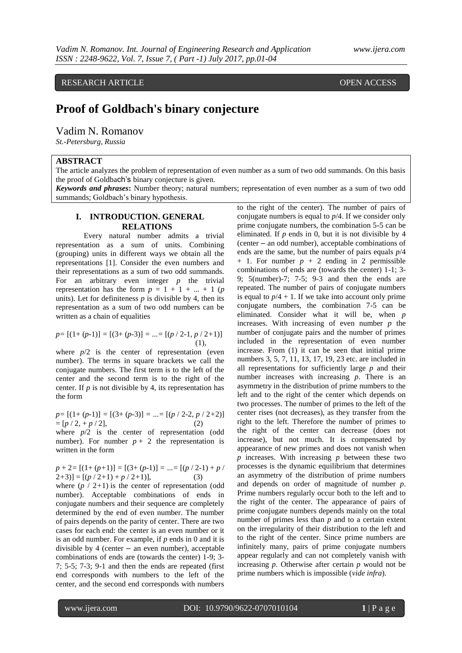RESEARCH ARTICLE **CONTRACT ARTICLE** AND A SERVICE OPEN ACCESS

# **Proof of Goldbach's binary conjecture**

Vadim N. Romanov

*St.-Petersburg, Russia*

# **ABSTRACT**

The article analyzes the problem of representation of even number as a sum of two odd summands. On this basis the proof of Goldbach's binary conjecture is given.

*Keywords and phrases***:** Number theory; natural numbers; representation of even number as a sum of two odd summands; Goldbach's binary hypothesis.

# **I. INTRODUCTION. GENERAL RELATIONS**

Every natural number admits a trivial representation as a sum of units. Combining (grouping) units in different ways we obtain all the representations [1]. Consider the even numbers and their representations as a sum of two odd summands. For an arbitrary even integer *p* the trivial representation has the form  $p = 1 + 1 + ... + 1$  (*p* units). Let for definiteness *p* is divisible by 4, then its representation as a sum of two odd numbers can be written as a chain of equalities

$$
p = [(1 + (p-1))] = [(3 + (p-3)] = ... = [(p / 2-1, p / 2+1)]
$$
  
(1),

where  $p/2$  is the center of representation (even number). The terms in square brackets we call the conjugate numbers. The first term is to the left of the center and the second term is to the right of the center. If *p* is not divisible by 4, its representation has the form

*p=* [(1+ (*p-*1)] *=* [(3+ (*p-*3)] *=* ...*=* [(*p* / 2*-*2, *p* / 2*+*2)]  $=[p / 2, +p / 2],$  (2)

where  $p/2$  is the center of representation (odd number). For number  $p + 2$  the representation is written in the form

$$
p + 2 = [(1 + (p+1)] = [(3 + (p-1))] = ... = [(p / 2-1) + p / 2+3)] = [(p / 2+1) + p / 2+1)],
$$
 (3)

where  $(p / 2 + 1)$  is the center of representation (odd number). Acceptable combinations of ends in conjugate numbers and their sequence are completely determined by the end of even number. The number of pairs depends on the parity of center. There are two cases for each end: the center is an even number or it is an odd number. For example, if *p* ends in 0 and it is divisible by 4 (center – an even number), acceptable combinations of ends are (towards the center) 1-9; 3- 7; 5-5; 7-3; 9-1 and then the ends are repeated (first end corresponds with numbers to the left of the center, and the second end corresponds with numbers

to the right of the center). The number of pairs of conjugate numbers is equal to *p*/4. If we consider only prime conjugate numbers, the combination 5-5 can be eliminated. If *p* ends in 0, but it is not divisible by 4 (center – an odd number), acceptable combinations of ends are the same, but the number of pairs equals *p*/4  $+ 1$ . For number  $p + 2$  ending in 2 permissible combinations of ends are (towards the center) 1-1; 3- 9; 5(number)-7; 7-5; 9-3 and then the ends are repeated. The number of pairs of conjugate numbers is equal to  $p/4 + 1$ . If we take into account only prime conjugate numbers, the combination 7-5 can be eliminated. Consider what it will be, when *p* increases. With increasing of even number *p* the number of conjugate pairs and the number of primes included in the representation of even number increase. From (1) it can be seen that initial prime numbers 3, 5, 7, 11, 13, 17, 19, 23 etc. are included in all representations for sufficiently large *p* and their number increases with increasing *p*. There is an asymmetry in the distribution of prime numbers to the left and to the right of the center which depends on two processes. The number of primes to the left of the center rises (not decreases), as they transfer from the right to the left. Therefore the number of primes to the right of the center can decrease (does not increase), but not much. It is compensated by appearance of new primes and does not vanish when *p* increases. With increasing *p* between these two processes is the dynamic equilibrium that determines an asymmetry of the distribution of prime numbers and depends on order of magnitude of number *p*. Prime numbers regularly occur both to the left and to the right of the center. The appearance of pairs of prime conjugate numbers depends mainly on the total number of primes less than *p* and to a certain extent on the irregularity of their distribution to the left and to the right of the center. Since prime numbers are infinitely many, pairs of prime conjugate numbers appear regularly and can not completely vanish with increasing *p*. Otherwise after certain *p* would not be prime numbers which is impossible (*vide infra*).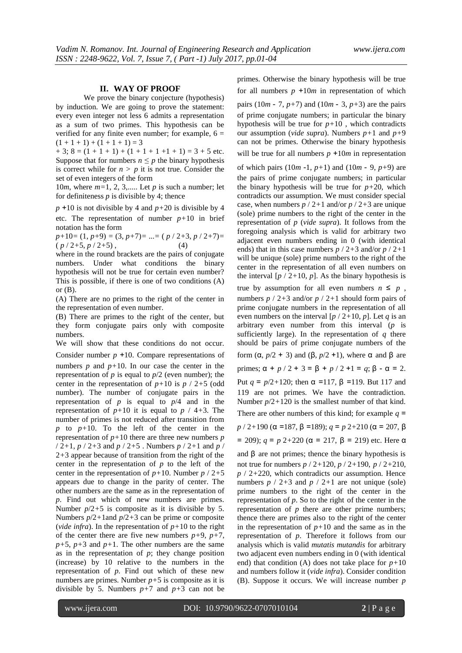## **II. WAY OF PROOF**

We prove the binary conjecture (hypothesis) by induction. We are going to prove the statement: every even integer not less 6 admits a representation as a sum of two primes. This hypothesis can be verified for any finite even number; for example,  $6 =$  $(1 + 1 + 1) + (1 + 1 + 1) = 3$ 

 $+ 3$ ;  $8 = (1 + 1 + 1) + (1 + 1 + 1 + 1) = 3 + 5$  etc. Suppose that for numbers  $n \leq p$  the binary hypothesis is correct while for  $n > p$  it is not true. Consider the set of even integers of the form

10*m*, where *m=*1, 2, 3,..... Let *p* is such a number; let for definiteness  $p$  is divisible by 4; thence

*p* +10 is not divisible by 4 and *p+*20 is divisible by 4 etc. The representation of number  $p+10$  in brief notation has the form

*p+*10*=* (1, *p+*9) *=* (3, *p+*7)*=* ...*=* ( *p* / 2*+*3, *p* / 2*+*7)*=*   $(p / 2 + 5, p / 2 + 5)$ , (4)

where in the round brackets are the pairs of conjugate numbers. Under what conditions the binary hypothesis will not be true for certain even number? This is possible, if there is one of two conditions (A) or  $(B)$ .

(A) There are no primes to the right of the center in the representation of even number.

(B) There are primes to the right of the center, but they form conjugate pairs only with composite numbers.

We will show that these conditions do not occur.

Consider number *p* +10. Compare representations of numbers  $p$  and  $p+10$ . In our case the center in the representation of  $p$  is equal to  $p/2$  (even number); the center in the representation of  $p+10$  is  $p / 2+5$  (odd number). The number of conjugate pairs in the representation of  $p$  is equal to  $p/4$  and in the representation of  $p+10$  it is equal to  $p \nmid 4+3$ . The number of primes is not reduced after transition from  $p$  to  $p+10$ . To the left of the center in the representation of  $p+10$  there are three new numbers  $p$ / 2*+*1, *p* / 2*+*3 and *p* / 2*+*5 . Numbers *p* / 2*+*1 and *p* / 2*+*3 appear because of transition from the right of the center in the representation of  $p$  to the left of the center in the representation of *p+*10. Number *p* / 2*+*5 appears due to change in the parity of center. The other numbers are the same as in the representation of *p*. Find out which of new numbers are primes. Number *p*/2*+*5 is composite as it is divisible by 5. Numbers *p*/2*+*1and *p*/2*+*3 can be prime or composite (*vide infra*). In the representation of  $p+10$  to the right of the center there are five new numbers  $p+9$ ,  $p+7$ ,  $p+5$ ,  $p+3$  and  $p+1$ . The other numbers are the same as in the representation of  $p$ ; they change position (increase) by 10 relative to the numbers in the representation of *p*. Find out which of these new numbers are primes. Number  $p+5$  is composite as it is divisible by 5. Numbers  $p+7$  and  $p+3$  can not be

primes. Otherwise the binary hypothesis will be true for all numbers  $p +10m$  in representation of which

pairs  $(10m - 7, p+7)$  and  $(10m - 3, p+3)$  are the pairs of prime conjugate numbers; in particular the binary hypothesis will be true for  $p+10$ , which contradicts our assumption (*vide supra*). Numbers *p+*1 and *p+*9 can not be primes. Otherwise the binary hypothesis will be true for all numbers  $p + 10m$  in representation

of which pairs (10*m* -1, *p+*1) and (10*m* - 9, *p+*9) are the pairs of prime conjugate numbers; in particular the binary hypothesis will be true for  $p+20$ , which contradicts our assumption. We must consider special case, when numbers  $p / 2 + 1$  and/or  $p / 2 + 3$  are unique (sole) prime numbers to the right of the center in the representation of *p* (*vide supra*). It follows from the foregoing analysis which is valid for arbitrary two adjacent even numbers ending in 0 (with identical ends) that in this case numbers *p* / 2*+*3 and/or *p* / 2*+*1 will be unique (sole) prime numbers to the right of the center in the representation of all even numbers on the interval  $[p / 2 + 10, p]$ . As the binary hypothesis is true by assumption for all even numbers  $n \leq p$ , numbers *p* / 2*+*3 and/or *p* / 2*+*1 should form pairs of prime conjugate numbers in the representation of all even numbers on the interval  $[p / 2+10, p]$ . Let *q* is an arbitrary even number from this interval (*p* is sufficiently large). In the representation of *q* there should be pairs of prime conjugate numbers of the form (α, *p*/2 + 3) and (β, *p*/2 +1), where α and β are primes;  $\alpha + p/2 + 3 = \beta + p/2 + 1 = q$ ;  $\beta - \alpha = 2$ . Put *q* = *p*/2+120; then α =117, β =119. But 117 and 119 are not primes. We have the contradiction. Number *p*/2*+*120 is the smallest number of that kind. There are other numbers of this kind; for example  $q =$ *p* / 2*+*190 (α =187, β =189); *q* = *p* 2*+*210 (α = 207, β

= 209); 
$$
q = p \ 2+220 \ (\alpha = 217, \ \beta = 219)
$$
 etc. Here  $\alpha$ 

and  $\beta$  are not primes; thence the binary hypothesis is not true for numbers *p* / 2*+*120, *p* / 2*+*190, *p* / 2*+*210, *p* / 2*+*220, which contradicts our assumption. Hence numbers  $p / 2 + 3$  and  $p / 2 + 1$  are not unique (sole) prime numbers to the right of the center in the representation of *p*. So to the right of the center in the representation of *p* there are other prime numbers; thence there are primes also to the right of the center in the representation of  $p+10$  and the same as in the representation of *p*. Therefore it follows from our analysis which is valid *mutatis mutandis* for arbitrary two adjacent even numbers ending in 0 (with identical end) that condition (A) does not take place for  $p+10$ and numbers follow it (*vide infra*). Consider condition (B). Suppose it occurs. We will increase number *p*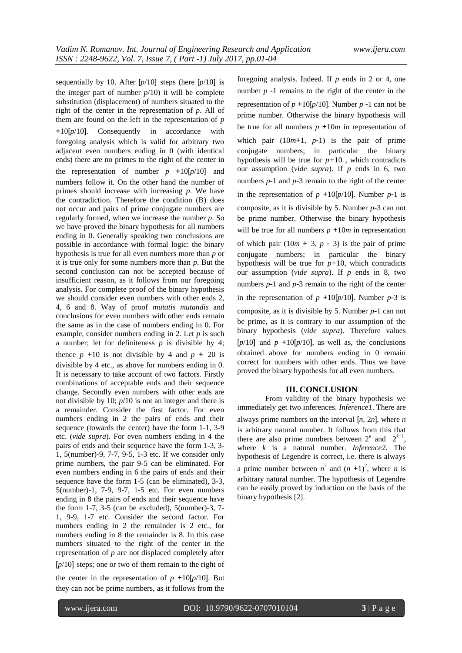sequentially by 10. After [*p*/10] steps (here [*p*/10] is the integer part of number  $p/10$ ) it will be complete substitution (displacement) of numbers situated to the right of the center in the representation of *p*. All of them are found on the left in the representation of *p*  +10[*p*/10]. Consequently in accordance with foregoing analysis which is valid for arbitrary two adjacent even numbers ending in 0 (with identical ends) there are no primes to the right of the center in the representation of number  $p +10[p/10]$  and numbers follow it. On the other hand the number of primes should increase with increasing *p*. We have the contradiction. Therefore the condition (B) does not occur and pairs of prime conjugate numbers are regularly formed, when we increase the number *p*. So we have proved the binary hypothesis for all numbers ending in 0. Generally speaking two conclusions are possible in accordance with formal logic: the binary hypothesis is true for all even numbers more than *p* or it is true only for some numbers more than *p*. But the second conclusion can not be accepted because of insufficient reason, as it follows from our foregoing analysis. For complete proof of the binary hypothesis we should consider even numbers with other ends 2, 4, 6 and 8. Way of proof *mutatis mutandis* and conclusions for even numbers with other ends remain the same as in the case of numbers ending in 0. For example, consider numbers ending in 2. Let *p* is such a number; let for definiteness *p* is divisible by 4; thence  $p +10$  is not divisible by 4 and  $p + 20$  is divisible by 4 etc., as above for numbers ending in 0. It is necessary to take account of two factors. Firstly combinations of acceptable ends and their sequence change. Secondly even numbers with other ends are not divisible by 10; *p*/10 is not an integer and there is a remainder. Consider the first factor. For even numbers ending in 2 the pairs of ends and their sequence (towards the center) have the form 1-1, 3-9 etc. (*vide supra*). For even numbers ending in 4 the pairs of ends and their sequence have the form 1-3, 3- 1, 5(number)-9, 7-7, 9-5, 1-3 etc. If we consider only prime numbers, the pair 9-5 can be eliminated. For even numbers ending in 6 the pairs of ends and their sequence have the form 1-5 (can be eliminated), 3-3, 5(number)-1, 7-9, 9-7, 1-5 etc. For even numbers ending in 8 the pairs of ends and their sequence have the form 1-7, 3-5 (can be excluded), 5(number)-3, 7- 1, 9-9, 1-7 etc. Consider the second factor. For numbers ending in 2 the remainder is 2 etc., for numbers ending in 8 the remainder is 8. In this case numbers situated to the right of the center in the representation of *p* are not displaced completely after [*p*/10] steps; one or two of them remain to the right of the center in the representation of  $p +10[p/10]$ . But they can not be prime numbers, as it follows from the

foregoing analysis. Indeed. If *p* ends in 2 or 4, one number  $p - 1$  remains to the right of the center in the representation of  $p + 10[p/10]$ . Number  $p - 1$  can not be prime number. Otherwise the binary hypothesis will be true for all numbers  $p +10m$  in representation of which pair  $(10m+1, p-1)$  is the pair of prime conjugate numbers; in particular the binary hypothesis will be true for  $p+10$ , which contradicts our assumption (*vide supra*). If *p* ends in 6, two numbers *p*-1 and *p*-3 remain to the right of the center in the representation of  $p + 10[p/10]$ . Number  $p-1$  is composite, as it is divisible by 5. Number *p*-3 can not be prime number. Otherwise the binary hypothesis will be true for all numbers  $p + 10m$  in representation of which pair  $(10m + 3, p - 3)$  is the pair of prime conjugate numbers; in particular the binary hypothesis will be true for  $p+10$ , which contradicts our assumption (*vide supra*). If *p* ends in 8, two numbers *p*-1 and *p*-3 remain to the right of the center in the representation of  $p +10[p/10]$ . Number  $p-3$  is composite, as it is divisible by 5. Number *p*-1 can not be prime, as it is contrary to our assumption of the binary hypothesis (*vide supra*). Therefore values  $[p/10]$  and  $p +10[p/10]$ , as well as, the conclusions obtained above for numbers ending in 0 remain correct for numbers with other ends. Thus we have proved the binary hypothesis for all even numbers.

### **III. CONCLUSION**

From validity of the binary hypothesis we immediately get two inferences. *Inference1*. There are always prime numbers on the interval [*n*, 2*n*], where *n*  is arbitrary natural number. It follows from this that there are also prime numbers between  $2^k$  and  $2^{k+1}$ , where *k* is a natural number. *Inference2*. The hypothesis of Legendre is correct, i.e. there is always a prime number between  $n^2$  and  $(n + 1)^2$ , where *n* is arbitrary natural number. The hypothesis of Legendre can be easily proved by induction on the basis of the binary hypothesis [2].